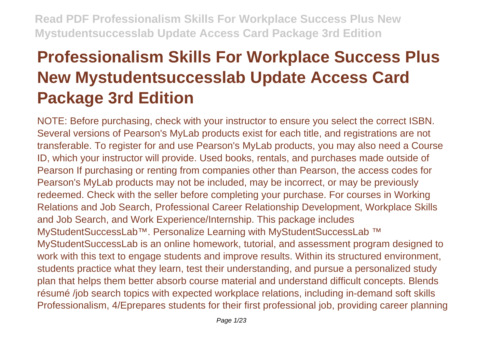# **Professionalism Skills For Workplace Success Plus New Mystudentsuccesslab Update Access Card Package 3rd Edition**

NOTE: Before purchasing, check with your instructor to ensure you select the correct ISBN. Several versions of Pearson's MyLab products exist for each title, and registrations are not transferable. To register for and use Pearson's MyLab products, you may also need a Course ID, which your instructor will provide. Used books, rentals, and purchases made outside of Pearson If purchasing or renting from companies other than Pearson, the access codes for Pearson's MyLab products may not be included, may be incorrect, or may be previously redeemed. Check with the seller before completing your purchase. For courses in Working Relations and Job Search, Professional Career Relationship Development, Workplace Skills and Job Search, and Work Experience/Internship. This package includes MyStudentSuccessLab™. Personalize Learning with MyStudentSuccessLab ™ MyStudentSuccessLab is an online homework, tutorial, and assessment program designed to work with this text to engage students and improve results. Within its structured environment, students practice what they learn, test their understanding, and pursue a personalized study plan that helps them better absorb course material and understand difficult concepts. Blends résumé /job search topics with expected workplace relations, including in-demand soft skills Professionalism, 4/Eprepares students for their first professional job, providing career planning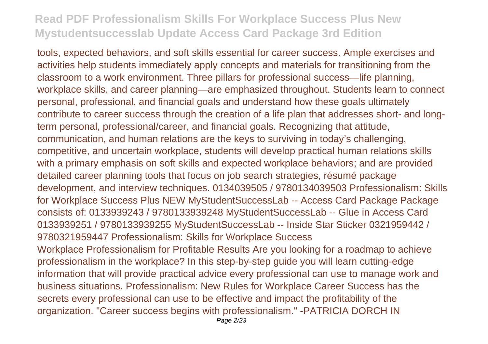tools, expected behaviors, and soft skills essential for career success. Ample exercises and activities help students immediately apply concepts and materials for transitioning from the classroom to a work environment. Three pillars for professional success—life planning, workplace skills, and career planning—are emphasized throughout. Students learn to connect personal, professional, and financial goals and understand how these goals ultimately contribute to career success through the creation of a life plan that addresses short- and longterm personal, professional/career, and financial goals. Recognizing that attitude, communication, and human relations are the keys to surviving in today's challenging, competitive, and uncertain workplace, students will develop practical human relations skills with a primary emphasis on soft skills and expected workplace behaviors; and are provided detailed career planning tools that focus on job search strategies, résumé package development, and interview techniques. 0134039505 / 9780134039503 Professionalism: Skills for Workplace Success Plus NEW MyStudentSuccessLab -- Access Card Package Package consists of: 0133939243 / 9780133939248 MyStudentSuccessLab -- Glue in Access Card 0133939251 / 9780133939255 MyStudentSuccessLab -- Inside Star Sticker 0321959442 / 9780321959447 Professionalism: Skills for Workplace Success Workplace Professionalism for Profitable Results Are you looking for a roadmap to achieve professionalism in the workplace? In this step-by-step guide you will learn cutting-edge information that will provide practical advice every professional can use to manage work and business situations. Professionalism: New Rules for Workplace Career Success has the secrets every professional can use to be effective and impact the profitability of the organization. "Career success begins with professionalism." -PATRICIA DORCH IN Page 2/23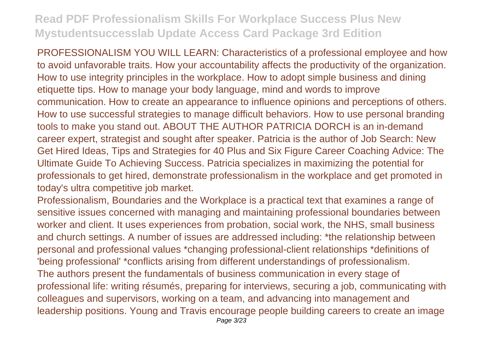PROFESSIONALISM YOU WILL LEARN: Characteristics of a professional employee and how to avoid unfavorable traits. How your accountability affects the productivity of the organization. How to use integrity principles in the workplace. How to adopt simple business and dining etiquette tips. How to manage your body language, mind and words to improve communication. How to create an appearance to influence opinions and perceptions of others. How to use successful strategies to manage difficult behaviors. How to use personal branding tools to make you stand out. ABOUT THE AUTHOR PATRICIA DORCH is an in-demand career expert, strategist and sought after speaker. Patricia is the author of Job Search: New Get Hired Ideas, Tips and Strategies for 40 Plus and Six Figure Career Coaching Advice: The Ultimate Guide To Achieving Success. Patricia specializes in maximizing the potential for professionals to get hired, demonstrate professionalism in the workplace and get promoted in today's ultra competitive job market.

Professionalism, Boundaries and the Workplace is a practical text that examines a range of sensitive issues concerned with managing and maintaining professional boundaries between worker and client. It uses experiences from probation, social work, the NHS, small business and church settings. A number of issues are addressed including: \*the relationship between personal and professional values \*changing professional-client relationships \*definitions of 'being professional' \*conflicts arising from different understandings of professionalism. The authors present the fundamentals of business communication in every stage of professional life: writing résumés, preparing for interviews, securing a job, communicating with colleagues and supervisors, working on a team, and advancing into management and leadership positions. Young and Travis encourage people building careers to create an image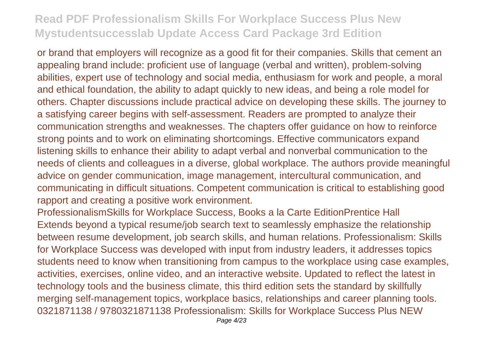or brand that employers will recognize as a good fit for their companies. Skills that cement an appealing brand include: proficient use of language (verbal and written), problem-solving abilities, expert use of technology and social media, enthusiasm for work and people, a moral and ethical foundation, the ability to adapt quickly to new ideas, and being a role model for others. Chapter discussions include practical advice on developing these skills. The journey to a satisfying career begins with self-assessment. Readers are prompted to analyze their communication strengths and weaknesses. The chapters offer guidance on how to reinforce strong points and to work on eliminating shortcomings. Effective communicators expand listening skills to enhance their ability to adapt verbal and nonverbal communication to the needs of clients and colleagues in a diverse, global workplace. The authors provide meaningful advice on gender communication, image management, intercultural communication, and communicating in difficult situations. Competent communication is critical to establishing good rapport and creating a positive work environment.

ProfessionalismSkills for Workplace Success, Books a la Carte EditionPrentice Hall Extends beyond a typical resume/job search text to seamlessly emphasize the relationship between resume development, job search skills, and human relations. Professionalism: Skills for Workplace Success was developed with input from industry leaders, it addresses topics students need to know when transitioning from campus to the workplace using case examples, activities, exercises, online video, and an interactive website. Updated to reflect the latest in technology tools and the business climate, this third edition sets the standard by skillfully merging self-management topics, workplace basics, relationships and career planning tools. 0321871138 / 9780321871138 Professionalism: Skills for Workplace Success Plus NEW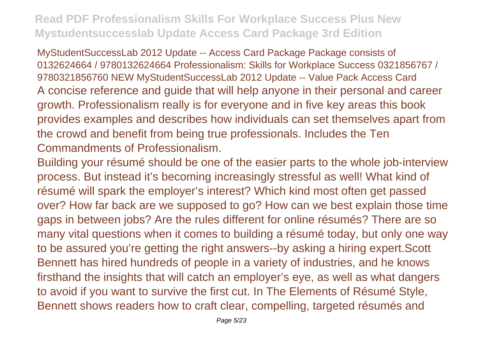MyStudentSuccessLab 2012 Update -- Access Card Package Package consists of 0132624664 / 9780132624664 Professionalism: Skills for Workplace Success 0321856767 / 9780321856760 NEW MyStudentSuccessLab 2012 Update -- Value Pack Access Card A concise reference and guide that will help anyone in their personal and career growth. Professionalism really is for everyone and in five key areas this book provides examples and describes how individuals can set themselves apart from the crowd and benefit from being true professionals. Includes the Ten Commandments of Professionalism.

Building your résumé should be one of the easier parts to the whole job-interview process. But instead it's becoming increasingly stressful as well! What kind of résumé will spark the employer's interest? Which kind most often get passed over? How far back are we supposed to go? How can we best explain those time gaps in between jobs? Are the rules different for online résumés? There are so many vital questions when it comes to building a résumé today, but only one way to be assured you're getting the right answers--by asking a hiring expert.Scott Bennett has hired hundreds of people in a variety of industries, and he knows firsthand the insights that will catch an employer's eye, as well as what dangers to avoid if you want to survive the first cut. In The Elements of Résumé Style, Bennett shows readers how to craft clear, compelling, targeted résumés and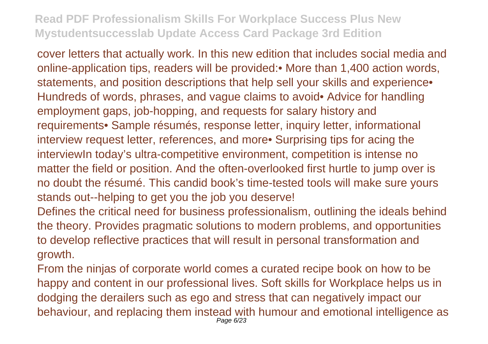cover letters that actually work. In this new edition that includes social media and online-application tips, readers will be provided:• More than 1,400 action words, statements, and position descriptions that help sell your skills and experience. Hundreds of words, phrases, and vague claims to avoid• Advice for handling employment gaps, job-hopping, and requests for salary history and requirements• Sample résumés, response letter, inquiry letter, informational interview request letter, references, and more• Surprising tips for acing the interviewIn today's ultra-competitive environment, competition is intense no matter the field or position. And the often-overlooked first hurtle to jump over is no doubt the résumé. This candid book's time-tested tools will make sure yours stands out--helping to get you the job you deserve!

Defines the critical need for business professionalism, outlining the ideals behind the theory. Provides pragmatic solutions to modern problems, and opportunities to develop reflective practices that will result in personal transformation and growth.

From the ninjas of corporate world comes a curated recipe book on how to be happy and content in our professional lives. Soft skills for Workplace helps us in dodging the derailers such as ego and stress that can negatively impact our behaviour, and replacing them instead with humour and emotional intelligence as Page 6/23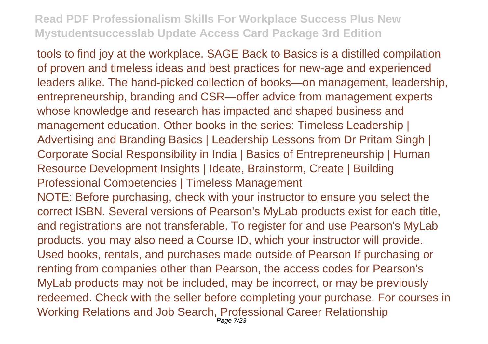tools to find joy at the workplace. SAGE Back to Basics is a distilled compilation of proven and timeless ideas and best practices for new-age and experienced leaders alike. The hand-picked collection of books—on management, leadership, entrepreneurship, branding and CSR—offer advice from management experts whose knowledge and research has impacted and shaped business and management education. Other books in the series: Timeless Leadership | Advertising and Branding Basics | Leadership Lessons from Dr Pritam Singh | Corporate Social Responsibility in India | Basics of Entrepreneurship | Human Resource Development Insights | Ideate, Brainstorm, Create | Building Professional Competencies | Timeless Management NOTE: Before purchasing, check with your instructor to ensure you select the correct ISBN. Several versions of Pearson's MyLab products exist for each title, and registrations are not transferable. To register for and use Pearson's MyLab

products, you may also need a Course ID, which your instructor will provide. Used books, rentals, and purchases made outside of Pearson If purchasing or renting from companies other than Pearson, the access codes for Pearson's MyLab products may not be included, may be incorrect, or may be previously redeemed. Check with the seller before completing your purchase. For courses in Working Relations and Job Search, Professional Career Relationship Page 7/23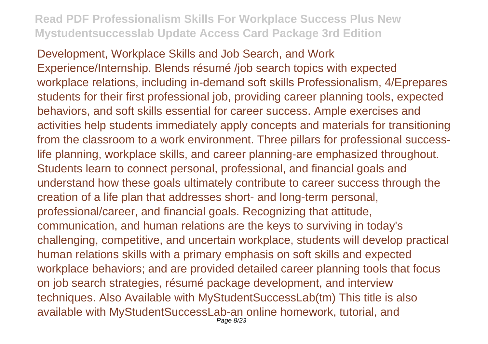Development, Workplace Skills and Job Search, and Work Experience/Internship. Blends résumé /job search topics with expected workplace relations, including in-demand soft skills Professionalism, 4/Eprepares students for their first professional job, providing career planning tools, expected behaviors, and soft skills essential for career success. Ample exercises and activities help students immediately apply concepts and materials for transitioning from the classroom to a work environment. Three pillars for professional successlife planning, workplace skills, and career planning-are emphasized throughout. Students learn to connect personal, professional, and financial goals and understand how these goals ultimately contribute to career success through the creation of a life plan that addresses short- and long-term personal, professional/career, and financial goals. Recognizing that attitude, communication, and human relations are the keys to surviving in today's challenging, competitive, and uncertain workplace, students will develop practical human relations skills with a primary emphasis on soft skills and expected workplace behaviors; and are provided detailed career planning tools that focus on job search strategies, résumé package development, and interview techniques. Also Available with MyStudentSuccessLab(tm) This title is also available with MyStudentSuccessLab-an online homework, tutorial, and Page 8/23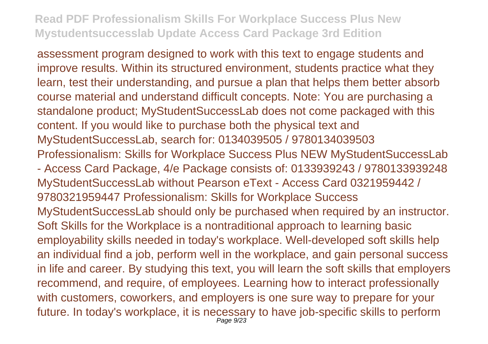assessment program designed to work with this text to engage students and improve results. Within its structured environment, students practice what they learn, test their understanding, and pursue a plan that helps them better absorb course material and understand difficult concepts. Note: You are purchasing a standalone product; MyStudentSuccessLab does not come packaged with this content. If you would like to purchase both the physical text and MyStudentSuccessLab, search for: 0134039505 / 9780134039503 Professionalism: Skills for Workplace Success Plus NEW MyStudentSuccessLab

- Access Card Package, 4/e Package consists of: 0133939243 / 9780133939248 MyStudentSuccessLab without Pearson eText - Access Card 0321959442 / 9780321959447 Professionalism: Skills for Workplace Success MyStudentSuccessLab should only be purchased when required by an instructor. Soft Skills for the Workplace is a nontraditional approach to learning basic employability skills needed in today's workplace. Well-developed soft skills help an individual find a job, perform well in the workplace, and gain personal success in life and career. By studying this text, you will learn the soft skills that employers recommend, and require, of employees. Learning how to interact professionally with customers, coworkers, and employers is one sure way to prepare for your future. In today's workplace, it is necessary to have job-specific skills to perform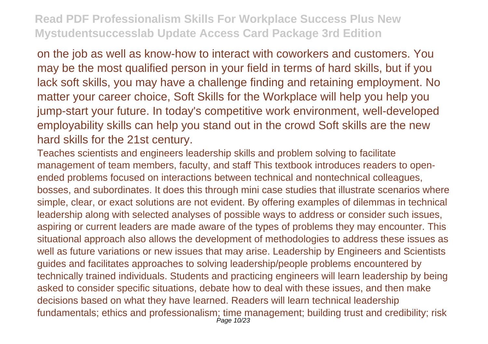on the job as well as know-how to interact with coworkers and customers. You may be the most qualified person in your field in terms of hard skills, but if you lack soft skills, you may have a challenge finding and retaining employment. No matter your career choice, Soft Skills for the Workplace will help you help you jump-start your future. In today's competitive work environment, well-developed employability skills can help you stand out in the crowd Soft skills are the new hard skills for the 21st century.

Teaches scientists and engineers leadership skills and problem solving to facilitate management of team members, faculty, and staff This textbook introduces readers to openended problems focused on interactions between technical and nontechnical colleagues, bosses, and subordinates. It does this through mini case studies that illustrate scenarios where simple, clear, or exact solutions are not evident. By offering examples of dilemmas in technical leadership along with selected analyses of possible ways to address or consider such issues, aspiring or current leaders are made aware of the types of problems they may encounter. This situational approach also allows the development of methodologies to address these issues as well as future variations or new issues that may arise. Leadership by Engineers and Scientists guides and facilitates approaches to solving leadership/people problems encountered by technically trained individuals. Students and practicing engineers will learn leadership by being asked to consider specific situations, debate how to deal with these issues, and then make decisions based on what they have learned. Readers will learn technical leadership fundamentals; ethics and professionalism; time management; building trust and credibility; risk Page 10/23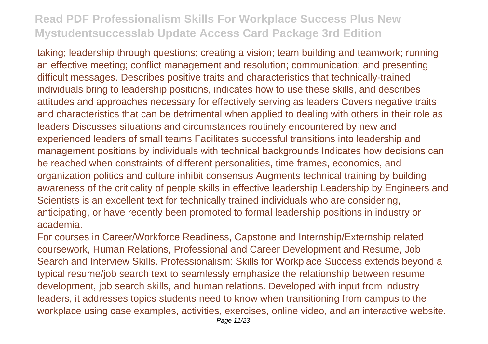taking; leadership through questions; creating a vision; team building and teamwork; running an effective meeting; conflict management and resolution; communication; and presenting difficult messages. Describes positive traits and characteristics that technically-trained individuals bring to leadership positions, indicates how to use these skills, and describes attitudes and approaches necessary for effectively serving as leaders Covers negative traits and characteristics that can be detrimental when applied to dealing with others in their role as leaders Discusses situations and circumstances routinely encountered by new and experienced leaders of small teams Facilitates successful transitions into leadership and management positions by individuals with technical backgrounds Indicates how decisions can be reached when constraints of different personalities, time frames, economics, and organization politics and culture inhibit consensus Augments technical training by building awareness of the criticality of people skills in effective leadership Leadership by Engineers and Scientists is an excellent text for technically trained individuals who are considering, anticipating, or have recently been promoted to formal leadership positions in industry or academia.

For courses in Career/Workforce Readiness, Capstone and Internship/Externship related coursework, Human Relations, Professional and Career Development and Resume, Job Search and Interview Skills. Professionalism: Skills for Workplace Success extends beyond a typical resume/job search text to seamlessly emphasize the relationship between resume development, job search skills, and human relations. Developed with input from industry leaders, it addresses topics students need to know when transitioning from campus to the workplace using case examples, activities, exercises, online video, and an interactive website.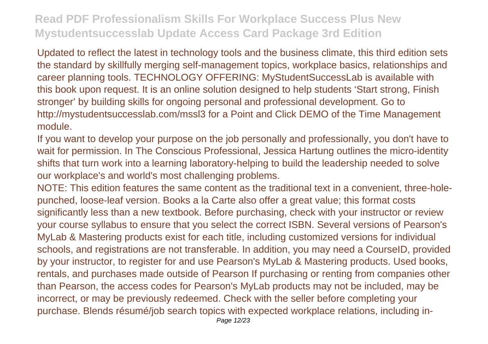Updated to reflect the latest in technology tools and the business climate, this third edition sets the standard by skillfully merging self-management topics, workplace basics, relationships and career planning tools. TECHNOLOGY OFFERING: MyStudentSuccessLab is available with this book upon request. It is an online solution designed to help students 'Start strong, Finish stronger' by building skills for ongoing personal and professional development. Go to http://mystudentsuccesslab.com/mssl3 for a Point and Click DEMO of the Time Management module.

If you want to develop your purpose on the job personally and professionally, you don't have to wait for permission. In The Conscious Professional, Jessica Hartung outlines the micro-identity shifts that turn work into a learning laboratory-helping to build the leadership needed to solve our workplace's and world's most challenging problems.

NOTE: This edition features the same content as the traditional text in a convenient, three-holepunched, loose-leaf version. Books a la Carte also offer a great value; this format costs significantly less than a new textbook. Before purchasing, check with your instructor or review your course syllabus to ensure that you select the correct ISBN. Several versions of Pearson's MyLab & Mastering products exist for each title, including customized versions for individual schools, and registrations are not transferable. In addition, you may need a CourseID, provided by your instructor, to register for and use Pearson's MyLab & Mastering products. Used books, rentals, and purchases made outside of Pearson If purchasing or renting from companies other than Pearson, the access codes for Pearson's MyLab products may not be included, may be incorrect, or may be previously redeemed. Check with the seller before completing your purchase. Blends résumé/job search topics with expected workplace relations, including in-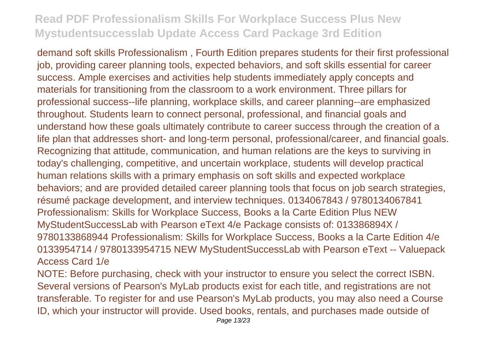demand soft skills Professionalism , Fourth Edition prepares students for their first professional job, providing career planning tools, expected behaviors, and soft skills essential for career success. Ample exercises and activities help students immediately apply concepts and materials for transitioning from the classroom to a work environment. Three pillars for professional success--life planning, workplace skills, and career planning--are emphasized throughout. Students learn to connect personal, professional, and financial goals and understand how these goals ultimately contribute to career success through the creation of a life plan that addresses short- and long-term personal, professional/career, and financial goals. Recognizing that attitude, communication, and human relations are the keys to surviving in today's challenging, competitive, and uncertain workplace, students will develop practical human relations skills with a primary emphasis on soft skills and expected workplace behaviors; and are provided detailed career planning tools that focus on job search strategies, résumé package development, and interview techniques. 0134067843 / 9780134067841 Professionalism: Skills for Workplace Success, Books a la Carte Edition Plus NEW MyStudentSuccessLab with Pearson eText 4/e Package consists of: 013386894X / 9780133868944 Professionalism: Skills for Workplace Success, Books a la Carte Edition 4/e 0133954714 / 9780133954715 NEW MyStudentSuccessLab with Pearson eText -- Valuepack Access Card 1/e

NOTE: Before purchasing, check with your instructor to ensure you select the correct ISBN. Several versions of Pearson's MyLab products exist for each title, and registrations are not transferable. To register for and use Pearson's MyLab products, you may also need a Course ID, which your instructor will provide. Used books, rentals, and purchases made outside of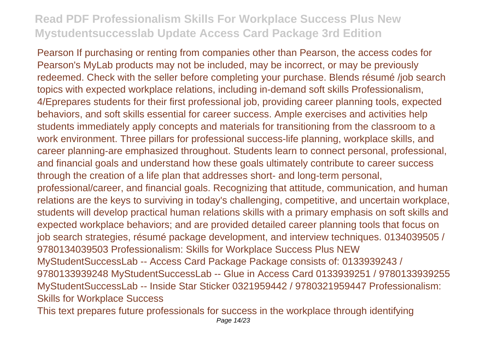Pearson If purchasing or renting from companies other than Pearson, the access codes for Pearson's MyLab products may not be included, may be incorrect, or may be previously redeemed. Check with the seller before completing your purchase. Blends résumé /job search topics with expected workplace relations, including in-demand soft skills Professionalism, 4/Eprepares students for their first professional job, providing career planning tools, expected behaviors, and soft skills essential for career success. Ample exercises and activities help students immediately apply concepts and materials for transitioning from the classroom to a work environment. Three pillars for professional success-life planning, workplace skills, and career planning-are emphasized throughout. Students learn to connect personal, professional, and financial goals and understand how these goals ultimately contribute to career success through the creation of a life plan that addresses short- and long-term personal, professional/career, and financial goals. Recognizing that attitude, communication, and human relations are the keys to surviving in today's challenging, competitive, and uncertain workplace, students will develop practical human relations skills with a primary emphasis on soft skills and expected workplace behaviors; and are provided detailed career planning tools that focus on job search strategies, résumé package development, and interview techniques. 0134039505 / 9780134039503 Professionalism: Skills for Workplace Success Plus NEW MyStudentSuccessLab -- Access Card Package Package consists of: 0133939243 / 9780133939248 MyStudentSuccessLab -- Glue in Access Card 0133939251 / 9780133939255 MyStudentSuccessLab -- Inside Star Sticker 0321959442 / 9780321959447 Professionalism: Skills for Workplace Success

This text prepares future professionals for success in the workplace through identifying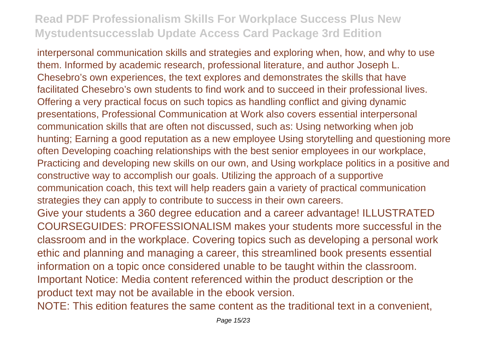interpersonal communication skills and strategies and exploring when, how, and why to use them. Informed by academic research, professional literature, and author Joseph L. Chesebro's own experiences, the text explores and demonstrates the skills that have facilitated Chesebro's own students to find work and to succeed in their professional lives. Offering a very practical focus on such topics as handling conflict and giving dynamic presentations, Professional Communication at Work also covers essential interpersonal communication skills that are often not discussed, such as: Using networking when job hunting; Earning a good reputation as a new employee Using storytelling and questioning more often Developing coaching relationships with the best senior employees in our workplace, Practicing and developing new skills on our own, and Using workplace politics in a positive and constructive way to accomplish our goals. Utilizing the approach of a supportive communication coach, this text will help readers gain a variety of practical communication strategies they can apply to contribute to success in their own careers. Give your students a 360 degree education and a career advantage! ILLUSTRATED COURSEGUIDES: PROFESSIONALISM makes your students more successful in the classroom and in the workplace. Covering topics such as developing a personal work ethic and planning and managing a career, this streamlined book presents essential information on a topic once considered unable to be taught within the classroom. Important Notice: Media content referenced within the product description or the product text may not be available in the ebook version.

NOTE: This edition features the same content as the traditional text in a convenient,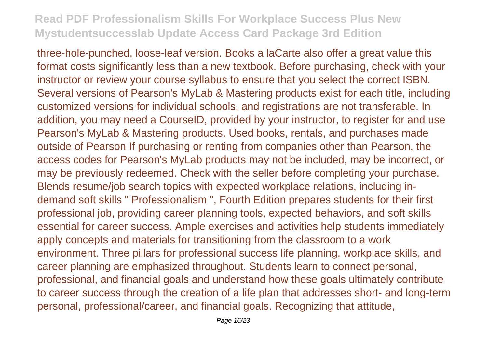three-hole-punched, loose-leaf version. Books a laCarte also offer a great value this format costs significantly less than a new textbook. Before purchasing, check with your instructor or review your course syllabus to ensure that you select the correct ISBN. Several versions of Pearson's MyLab & Mastering products exist for each title, including customized versions for individual schools, and registrations are not transferable. In addition, you may need a CourseID, provided by your instructor, to register for and use Pearson's MyLab & Mastering products. Used books, rentals, and purchases made outside of Pearson If purchasing or renting from companies other than Pearson, the access codes for Pearson's MyLab products may not be included, may be incorrect, or may be previously redeemed. Check with the seller before completing your purchase. Blends resume/job search topics with expected workplace relations, including indemand soft skills " Professionalism ", Fourth Edition prepares students for their first professional job, providing career planning tools, expected behaviors, and soft skills essential for career success. Ample exercises and activities help students immediately apply concepts and materials for transitioning from the classroom to a work environment. Three pillars for professional success life planning, workplace skills, and career planning are emphasized throughout. Students learn to connect personal, professional, and financial goals and understand how these goals ultimately contribute to career success through the creation of a life plan that addresses short- and long-term personal, professional/career, and financial goals. Recognizing that attitude,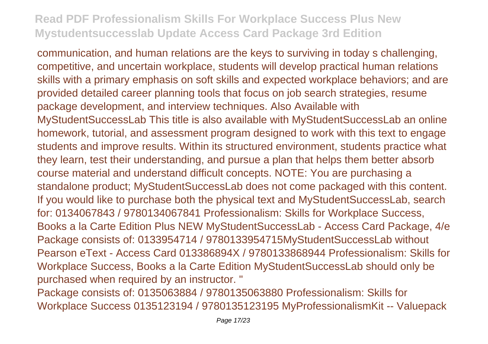communication, and human relations are the keys to surviving in today s challenging, competitive, and uncertain workplace, students will develop practical human relations skills with a primary emphasis on soft skills and expected workplace behaviors; and are provided detailed career planning tools that focus on job search strategies, resume package development, and interview techniques. Also Available with MyStudentSuccessLab This title is also available with MyStudentSuccessLab an online homework, tutorial, and assessment program designed to work with this text to engage students and improve results. Within its structured environment, students practice what they learn, test their understanding, and pursue a plan that helps them better absorb course material and understand difficult concepts. NOTE: You are purchasing a standalone product; MyStudentSuccessLab does not come packaged with this content. If you would like to purchase both the physical text and MyStudentSuccessLab, search for: 0134067843 / 9780134067841 Professionalism: Skills for Workplace Success, Books a la Carte Edition Plus NEW MyStudentSuccessLab - Access Card Package, 4/e Package consists of: 0133954714 / 9780133954715MyStudentSuccessLab without Pearson eText - Access Card 013386894X / 9780133868944 Professionalism: Skills for Workplace Success, Books a la Carte Edition MyStudentSuccessLab should only be purchased when required by an instructor. "

Package consists of: 0135063884 / 9780135063880 Professionalism: Skills for Workplace Success 0135123194 / 9780135123195 MyProfessionalismKit -- Valuepack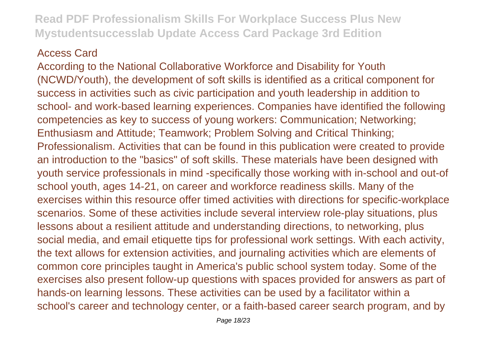#### Access Card

According to the National Collaborative Workforce and Disability for Youth (NCWD/Youth), the development of soft skills is identified as a critical component for success in activities such as civic participation and youth leadership in addition to school- and work-based learning experiences. Companies have identified the following competencies as key to success of young workers: Communication; Networking; Enthusiasm and Attitude; Teamwork; Problem Solving and Critical Thinking; Professionalism. Activities that can be found in this publication were created to provide an introduction to the "basics" of soft skills. These materials have been designed with youth service professionals in mind -specifically those working with in-school and out-of school youth, ages 14-21, on career and workforce readiness skills. Many of the exercises within this resource offer timed activities with directions for specific-workplace scenarios. Some of these activities include several interview role-play situations, plus lessons about a resilient attitude and understanding directions, to networking, plus social media, and email etiquette tips for professional work settings. With each activity, the text allows for extension activities, and journaling activities which are elements of common core principles taught in America's public school system today. Some of the exercises also present follow-up questions with spaces provided for answers as part of hands-on learning lessons. These activities can be used by a facilitator within a school's career and technology center, or a faith-based career search program, and by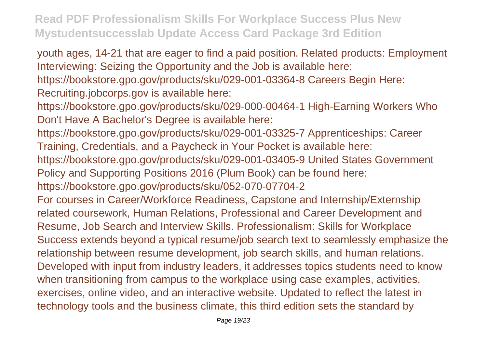youth ages, 14-21 that are eager to find a paid position. Related products: Employment Interviewing: Seizing the Opportunity and the Job is available here:

https://bookstore.gpo.gov/products/sku/029-001-03364-8 Careers Begin Here: Recruiting.jobcorps.gov is available here:

- https://bookstore.gpo.gov/products/sku/029-000-00464-1 High-Earning Workers Who Don't Have A Bachelor's Degree is available here:
- https://bookstore.gpo.gov/products/sku/029-001-03325-7 Apprenticeships: Career Training, Credentials, and a Paycheck in Your Pocket is available here:
- https://bookstore.gpo.gov/products/sku/029-001-03405-9 United States Government Policy and Supporting Positions 2016 (Plum Book) can be found here:
- https://bookstore.gpo.gov/products/sku/052-070-07704-2

For courses in Career/Workforce Readiness, Capstone and Internship/Externship related coursework, Human Relations, Professional and Career Development and Resume, Job Search and Interview Skills. Professionalism: Skills for Workplace Success extends beyond a typical resume/job search text to seamlessly emphasize the relationship between resume development, job search skills, and human relations. Developed with input from industry leaders, it addresses topics students need to know when transitioning from campus to the workplace using case examples, activities, exercises, online video, and an interactive website. Updated to reflect the latest in technology tools and the business climate, this third edition sets the standard by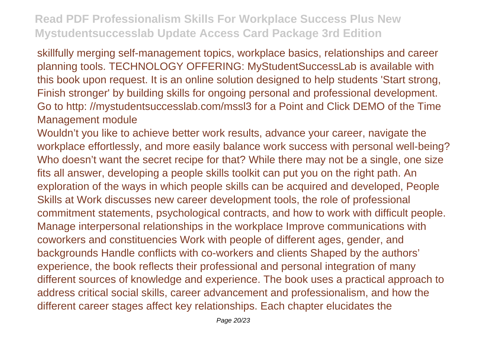skillfully merging self-management topics, workplace basics, relationships and career planning tools. TECHNOLOGY OFFERING: MyStudentSuccessLab is available with this book upon request. It is an online solution designed to help students 'Start strong, Finish stronger' by building skills for ongoing personal and professional development. Go to http: //mystudentsuccesslab.com/mssl3 for a Point and Click DEMO of the Time Management module

Wouldn't you like to achieve better work results, advance your career, navigate the workplace effortlessly, and more easily balance work success with personal well-being? Who doesn't want the secret recipe for that? While there may not be a single, one size fits all answer, developing a people skills toolkit can put you on the right path. An exploration of the ways in which people skills can be acquired and developed, People Skills at Work discusses new career development tools, the role of professional commitment statements, psychological contracts, and how to work with difficult people. Manage interpersonal relationships in the workplace Improve communications with coworkers and constituencies Work with people of different ages, gender, and backgrounds Handle conflicts with co-workers and clients Shaped by the authors' experience, the book reflects their professional and personal integration of many different sources of knowledge and experience. The book uses a practical approach to address critical social skills, career advancement and professionalism, and how the different career stages affect key relationships. Each chapter elucidates the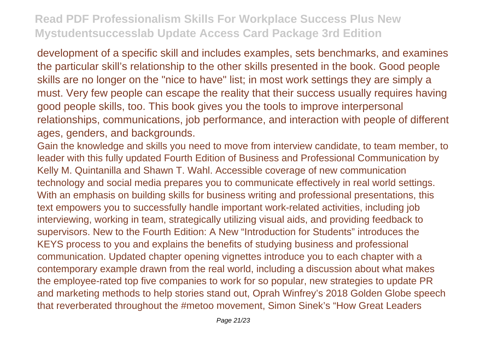development of a specific skill and includes examples, sets benchmarks, and examines the particular skill's relationship to the other skills presented in the book. Good people skills are no longer on the "nice to have" list; in most work settings they are simply a must. Very few people can escape the reality that their success usually requires having good people skills, too. This book gives you the tools to improve interpersonal relationships, communications, job performance, and interaction with people of different ages, genders, and backgrounds.

Gain the knowledge and skills you need to move from interview candidate, to team member, to leader with this fully updated Fourth Edition of Business and Professional Communication by Kelly M. Quintanilla and Shawn T. Wahl. Accessible coverage of new communication technology and social media prepares you to communicate effectively in real world settings. With an emphasis on building skills for business writing and professional presentations, this text empowers you to successfully handle important work-related activities, including job interviewing, working in team, strategically utilizing visual aids, and providing feedback to supervisors. New to the Fourth Edition: A New "Introduction for Students" introduces the KEYS process to you and explains the benefits of studying business and professional communication. Updated chapter opening vignettes introduce you to each chapter with a contemporary example drawn from the real world, including a discussion about what makes the employee-rated top five companies to work for so popular, new strategies to update PR and marketing methods to help stories stand out, Oprah Winfrey's 2018 Golden Globe speech that reverberated throughout the #metoo movement, Simon Sinek's "How Great Leaders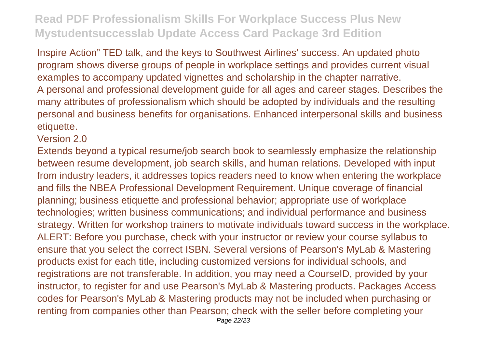Inspire Action" TED talk, and the keys to Southwest Airlines' success. An updated photo program shows diverse groups of people in workplace settings and provides current visual examples to accompany updated vignettes and scholarship in the chapter narrative. A personal and professional development guide for all ages and career stages. Describes the many attributes of professionalism which should be adopted by individuals and the resulting personal and business benefits for organisations. Enhanced interpersonal skills and business etiquette.

Version 2.0

Extends beyond a typical resume/job search book to seamlessly emphasize the relationship between resume development, job search skills, and human relations. Developed with input from industry leaders, it addresses topics readers need to know when entering the workplace and fills the NBEA Professional Development Requirement. Unique coverage of financial planning; business etiquette and professional behavior; appropriate use of workplace technologies; written business communications; and individual performance and business strategy. Written for workshop trainers to motivate individuals toward success in the workplace. ALERT: Before you purchase, check with your instructor or review your course syllabus to ensure that you select the correct ISBN. Several versions of Pearson's MyLab & Mastering products exist for each title, including customized versions for individual schools, and registrations are not transferable. In addition, you may need a CourseID, provided by your instructor, to register for and use Pearson's MyLab & Mastering products. Packages Access codes for Pearson's MyLab & Mastering products may not be included when purchasing or renting from companies other than Pearson; check with the seller before completing your Page 22/23